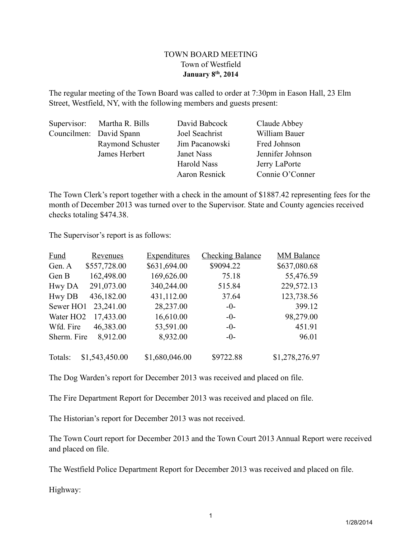# TOWN BOARD MEETING Town of Westfield **January 8th, 2014**

The regular meeting of the Town Board was called to order at 7:30pm in Eason Hall, 23 Elm Street, Westfield, NY, with the following members and guests present:

| Supervisor: Martha R. Bills | David Babcock        | Claude Abbey     |
|-----------------------------|----------------------|------------------|
| Councilmen: David Spann     | Joel Seachrist       | William Bauer    |
| Raymond Schuster            | Jim Pacanowski       | Fred Johnson     |
| James Herbert               | Janet Nass           | Jennifer Johnson |
|                             | <b>Harold Nass</b>   | Jerry LaPorte    |
|                             | <b>Aaron Resnick</b> | Connie O'Conner  |

The Town Clerk's report together with a check in the amount of \$1887.42 representing fees for the month of December 2013 was turned over to the Supervisor. State and County agencies received checks totaling \$474.38.

The Supervisor's report is as follows:

| <b>Fund</b>           | <b>Revenues</b> | Expenditures   | <b>Checking Balance</b> | <b>MM Balance</b> |
|-----------------------|-----------------|----------------|-------------------------|-------------------|
| Gen. A                | \$557,728.00    | \$631,694.00   | \$9094.22               | \$637,080.68      |
| Gen B                 | 162,498.00      | 169,626.00     | 75.18                   | 55,476.59         |
| Hwy DA                | 291,073.00      | 340,244.00     | 515.84                  | 229,572.13        |
| <b>Hwy DB</b>         | 436,182.00      | 431,112.00     | 37.64                   | 123,738.56        |
| Sewer HO1             | 23,241.00       | 28,237.00      | $-0-$                   | 399.12            |
| Water HO <sub>2</sub> | 17,433.00       | 16,610.00      | $-0-$                   | 98,279.00         |
| Wfd. Fire             | 46,383.00       | 53,591.00      | $-0-$                   | 451.91            |
| Sherm. Fire           | 8,912.00        | 8,932.00       | $-0-$                   | 96.01             |
| Totals:               | \$1,543,450.00  | \$1,680,046.00 | \$9722.88               | \$1,278,276.97    |

The Dog Warden's report for December 2013 was received and placed on file.

The Fire Department Report for December 2013 was received and placed on file.

The Historian's report for December 2013 was not received.

The Town Court report for December 2013 and the Town Court 2013 Annual Report were received and placed on file.

The Westfield Police Department Report for December 2013 was received and placed on file.

Highway: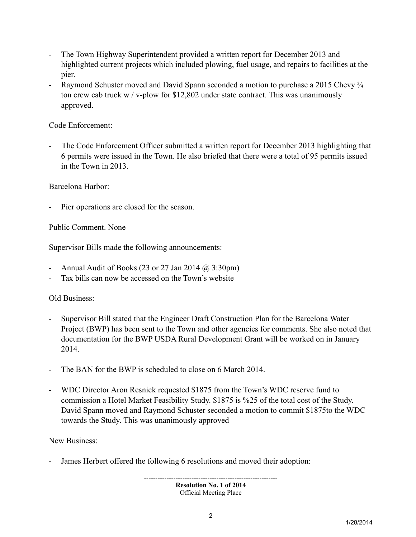- The Town Highway Superintendent provided a written report for December 2013 and highlighted current projects which included plowing, fuel usage, and repairs to facilities at the pier.
- Raymond Schuster moved and David Spann seconded a motion to purchase a 2015 Chevy  $\frac{3}{4}$ ton crew cab truck w / v-plow for \$12,802 under state contract. This was unanimously approved.

# Code Enforcement:

The Code Enforcement Officer submitted a written report for December 2013 highlighting that 6 permits were issued in the Town. He also briefed that there were a total of 95 permits issued in the Town in 2013.

Barcelona Harbor:

Pier operations are closed for the season.

Public Comment. None

Supervisor Bills made the following announcements:

- Annual Audit of Books (23 or 27 Jan 2014 @ 3:30pm)
- Tax bills can now be accessed on the Town's website

# Old Business:

- Supervisor Bill stated that the Engineer Draft Construction Plan for the Barcelona Water Project (BWP) has been sent to the Town and other agencies for comments. She also noted that documentation for the BWP USDA Rural Development Grant will be worked on in January 2014.
- The BAN for the BWP is scheduled to close on 6 March 2014.
- WDC Director Aron Resnick requested \$1875 from the Town's WDC reserve fund to commission a Hotel Market Feasibility Study. \$1875 is %25 of the total cost of the Study. David Spann moved and Raymond Schuster seconded a motion to commit \$1875to the WDC towards the Study. This was unanimously approved

New Business:

James Herbert offered the following 6 resolutions and moved their adoption:

----------------------------------------------------------- **Resolution No. 1 of 2014** Official Meeting Place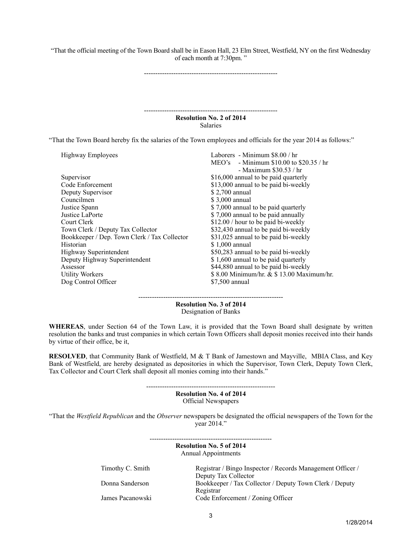"That the official meeting of the Town Board shall be in Eason Hall, 23 Elm Street, Westfield, NY on the first Wednesday of each month at 7:30pm. "

-----------------------------------------------------------

----------------------------------------------------------- **Resolution No. 2 of 2014** Salaries

"That the Town Board hereby fix the salaries of the Town employees and officials for the year 2014 as follows:"

| Highway Employees                            | Laborers - Minimum \$8.00 / hr            |
|----------------------------------------------|-------------------------------------------|
|                                              | $MEO's$ - Minimum \$10.00 to \$20.35 / hr |
|                                              | - Maximum $$30.53 / hr$                   |
| Supervisor                                   | \$16,000 annual to be paid quarterly      |
| Code Enforcement                             | \$13,000 annual to be paid bi-weekly      |
| Deputy Supervisor                            | \$2,700 annual                            |
| Councilmen                                   | \$3,000 annual                            |
| Justice Spann                                | \$7,000 annual to be paid quarterly       |
| Justice LaPorte                              | \$7,000 annual to be paid annually        |
| Court Clerk                                  | \$12.00 / hour to be paid bi-weekly       |
| Town Clerk / Deputy Tax Collector            | \$32,430 annual to be paid bi-weekly      |
| Bookkeeper / Dep. Town Clerk / Tax Collector | \$31,025 annual to be paid bi-weekly      |
| Historian                                    | \$1,000 annual                            |
| Highway Superintendent                       | \$50,283 annual to be paid bi-weekly      |
| Deputy Highway Superintendent                | \$1,600 annual to be paid quarterly       |
| Assessor                                     | \$44,880 annual to be paid bi-weekly      |
| <b>Utility Workers</b>                       | \$8.00 Minimum/hr. & \$13.00 Maximum/hr.  |
| Dog Control Officer                          | \$7,500 annual                            |
|                                              |                                           |

**Resolution No. 3 of 2014** Designation of Banks

----------------------------------------------------------------

**WHEREAS**, under Section 64 of the Town Law, it is provided that the Town Board shall designate by written resolution the banks and trust companies in which certain Town Officers shall deposit monies received into their hands by virtue of their office, be it,

**RESOLVED**, that Community Bank of Westfield, M & T Bank of Jamestown and Mayville, MBIA Class, and Key Bank of Westfield, are hereby designated as depositories in which the Supervisor, Town Clerk, Deputy Town Clerk, Tax Collector and Court Clerk shall deposit all monies coming into their hands."

> --------------------------------------------------------- **Resolution No. 4 of 2014** Official Newspapers

"That the *Westfield Republican* and the *Observer* newspapers be designated the official newspapers of the Town for the year 2014."

> ------------------------------------------------------ **Resolution No. 5 of 2014** Annual Appointments

Timothy C. Smith Registrar / Bingo Inspector / Records Management Officer / Deputy Tax Collector Donna Sanderson Bookkeeper / Tax Collector / Deputy Town Clerk / Deputy Registrar James Pacanowski Code Enforcement / Zoning Officer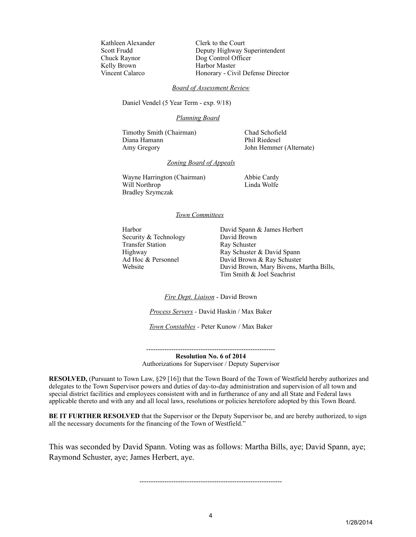Kathleen Alexander Clerk to the Court Kelly Brown

Scott Frudd Deputy Highway Superintendent Chuck Raynor Dog Control Officer Vincent Calarco Honorary - Civil Defense Director

#### *Board of Assessment Review*

Daniel Vendel (5 Year Term - exp. 9/18)

#### *Planning Board*

Timothy Smith (Chairman) Chad Schofield Diana Hamann Phil Riedesel Amy Gregory John Hemmer (Alternate)

### *Zoning Board of Appeals*

Wayne Harrington (Chairman) Abbie Cardy Will Northrop Linda Wolfe Bradley Szymczak

#### *Town Committees*

Security & Technology David Brown<br>
Transfer Station Ray Schuster Transfer Station

Harbor David Spann & James Herbert Highway Ray Schuster & David Spann Ad Hoc & Personnel David Brown & Ray Schuster Website David Brown, Mary Bivens, Martha Bills, Tim Smith & Joel Seachrist

*Fire Dept. Liaison* - David Brown

*Process Servers -* David Haskin / Max Baker

*Town Constables -* Peter Kunow / Max Baker

--------------------------------------------------------- **Resolution No. 6 of 2014**

Authorizations for Supervisor / Deputy Supervisor

**RESOLVED,** (Pursuant to Town Law, §29 [16]) that the Town Board of the Town of Westfield hereby authorizes and delegates to the Town Supervisor powers and duties of day-to-day administration and supervision of all town and special district facilities and employees consistent with and in furtherance of any and all State and Federal laws applicable thereto and with any and all local laws, resolutions or policies heretofore adopted by this Town Board.

**BE IT FURTHER RESOLVED** that the Supervisor or the Deputy Supervisor be, and are hereby authorized, to sign all the necessary documents for the financing of the Town of Westfield."

This was seconded by David Spann. Voting was as follows: Martha Bills, aye; David Spann, aye; Raymond Schuster, aye; James Herbert, aye.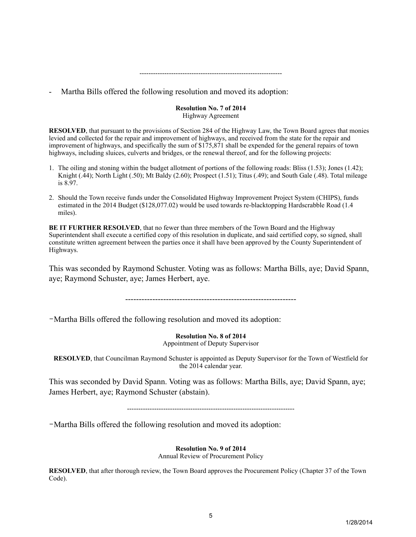## Martha Bills offered the following resolution and moved its adoption:

#### **Resolution No. 7 of 2014** Highway Agreement

---------------------------------------------------------------

**RESOLVED**, that pursuant to the provisions of Section 284 of the Highway Law, the Town Board agrees that monies levied and collected for the repair and improvement of highways, and received from the state for the repair and improvement of highways, and specifically the sum of \$175,871 shall be expended for the general repairs of town highways, including sluices, culverts and bridges, or the renewal thereof, and for the following projects:

- 1. The oiling and stoning within the budget allotment of portions of the following roads: Bliss (1.53); Jones (1.42); Knight (.44); North Light (.50); Mt Baldy (2.60); Prospect (1.51); Titus (.49); and South Gale (.48). Total mileage is 8.97.
- 2. Should the Town receive funds under the Consolidated Highway Improvement Project System (CHIPS), funds estimated in the 2014 Budget (\$128,077.02) would be used towards re-blacktopping Hardscrabble Road (1.4 miles).

**BE IT FURTHER RESOLVED**, that no fewer than three members of the Town Board and the Highway Superintendent shall execute a certified copy of this resolution in duplicate, and said certified copy, so signed, shall constitute written agreement between the parties once it shall have been approved by the County Superintendent of Highways.

This was seconded by Raymond Schuster. Voting was as follows: Martha Bills, aye; David Spann, aye; Raymond Schuster, aye; James Herbert, aye.

---------------------------------------------------------------

-Martha Bills offered the following resolution and moved its adoption:

### **Resolution No. 8 of 2014**

Appointment of Deputy Supervisor

**RESOLVED**, that Councilman Raymond Schuster is appointed as Deputy Supervisor for the Town of Westfield for the 2014 calendar year.

This was seconded by David Spann. Voting was as follows: Martha Bills, aye; David Spann, aye; James Herbert, aye; Raymond Schuster (abstain).

--------------------------------------------------------------------------

-Martha Bills offered the following resolution and moved its adoption:

### **Resolution No. 9 of 2014**

Annual Review of Procurement Policy

**RESOLVED**, that after thorough review, the Town Board approves the Procurement Policy (Chapter 37 of the Town Code).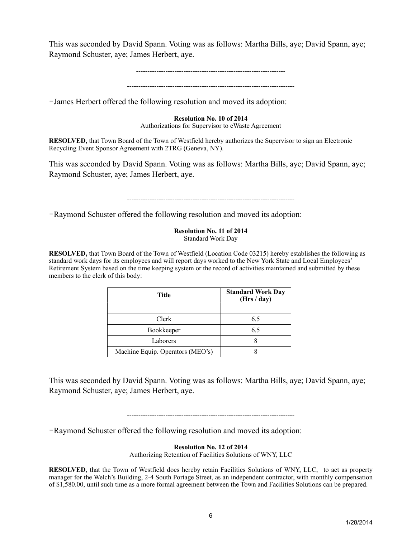This was seconded by David Spann. Voting was as follows: Martha Bills, aye; David Spann, aye; Raymond Schuster, aye; James Herbert, aye.

> ------------------------------------------------------------------ --------------------------------------------------------------------------

-James Herbert offered the following resolution and moved its adoption:

### **Resolution No. 10 of 2014**

Authorizations for Supervisor to eWaste Agreement

**RESOLVED,** that Town Board of the Town of Westfield hereby authorizes the Supervisor to sign an Electronic Recycling Event Sponsor Agreement with 2TRG (Geneva, NY).

This was seconded by David Spann. Voting was as follows: Martha Bills, aye; David Spann, aye; Raymond Schuster, aye; James Herbert, aye.

--------------------------------------------------------------------------

-Raymond Schuster offered the following resolution and moved its adoption:

### **Resolution No. 11 of 2014** Standard Work Day

**RESOLVED,** that Town Board of the Town of Westfield (Location Code 03215) hereby establishes the following as standard work days for its employees and will report days worked to the New York State and Local Employees' Retirement System based on the time keeping system or the record of activities maintained and submitted by these members to the clerk of this body:

| Title                            | <b>Standard Work Day</b><br>(Hrs / day) |  |
|----------------------------------|-----------------------------------------|--|
|                                  |                                         |  |
| Clerk                            | 6.5                                     |  |
| Bookkeeper                       | 6.5                                     |  |
| Laborers                         |                                         |  |
| Machine Equip. Operators (MEO's) |                                         |  |

This was seconded by David Spann. Voting was as follows: Martha Bills, aye; David Spann, aye; Raymond Schuster, aye; James Herbert, aye.

--------------------------------------------------------------------------

-Raymond Schuster offered the following resolution and moved its adoption:

### **Resolution No. 12 of 2014**

Authorizing Retention of Facilities Solutions of WNY, LLC

**RESOLVED**, that the Town of Westfield does hereby retain Facilities Solutions of WNY, LLC, to act as property manager for the Welch's Building, 2-4 South Portage Street, as an independent contractor, with monthly compensation of \$1,580.00, until such time as a more formal agreement between the Town and Facilities Solutions can be prepared.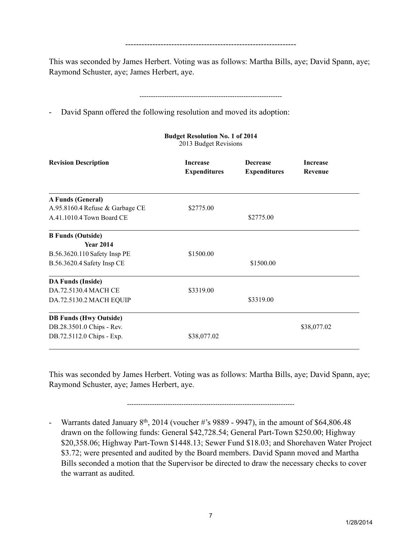This was seconded by James Herbert. Voting was as follows: Martha Bills, aye; David Spann, aye; Raymond Schuster, aye; James Herbert, aye.

---------------------------------------------------------------

# ---------------------------------------------------------------

- David Spann offered the following resolution and moved its adoption:

| <b>Revision Description</b>     | <b>Increase</b><br><b>Expenditures</b> | <b>Decrease</b><br><b>Expenditures</b> | <b>Increase</b><br><b>Revenue</b> |
|---------------------------------|----------------------------------------|----------------------------------------|-----------------------------------|
| A Funds (General)               |                                        |                                        |                                   |
| A.95.8160.4 Refuse & Garbage CE | \$2775.00                              |                                        |                                   |
| A.41.1010.4 Town Board CE       |                                        | \$2775.00                              |                                   |
| <b>B Funds (Outside)</b>        |                                        |                                        |                                   |
| <b>Year 2014</b>                |                                        |                                        |                                   |
| B.56.3620.110 Safety Insp PE    | \$1500.00                              |                                        |                                   |
| B.56.3620.4 Safety Insp CE      |                                        | \$1500.00                              |                                   |
| <b>DA Funds (Inside)</b>        |                                        |                                        |                                   |
| DA.72.5130.4 MACH CE            | \$3319.00                              |                                        |                                   |
| DA.72.5130.2 MACH EQUIP         |                                        | \$3319.00                              |                                   |
| <b>DB Funds (Hwy Outside)</b>   |                                        |                                        |                                   |
| DB.28.3501.0 Chips - Rev.       |                                        |                                        | \$38,077.02                       |
| DB.72.5112.0 Chips - Exp.       | \$38,077.02                            |                                        |                                   |

**Budget Resolution No. 1 of 2014** 2013 Budget Revisions

This was seconded by James Herbert. Voting was as follows: Martha Bills, aye; David Spann, aye; Raymond Schuster, aye; James Herbert, aye.

--------------------------------------------------------------------------

- Warrants dated January  $8<sup>th</sup>$ , 2014 (voucher #'s 9889 - 9947), in the amount of \$64,806.48 drawn on the following funds: General \$42,728.54; General Part-Town \$250.00; Highway \$20,358.06; Highway Part-Town \$1448.13; Sewer Fund \$18.03; and Shorehaven Water Project \$3.72; were presented and audited by the Board members. David Spann moved and Martha Bills seconded a motion that the Supervisor be directed to draw the necessary checks to cover the warrant as audited.